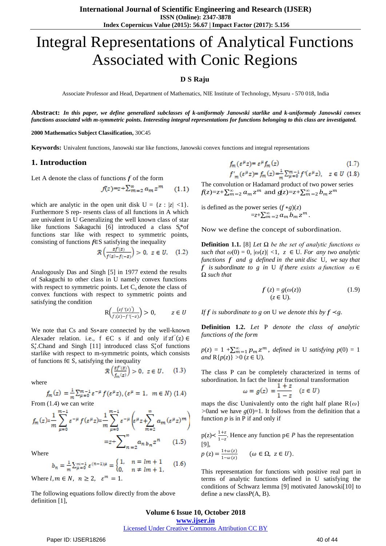# Integral Representations of Analytical Functions Associated with Conic Regions

## **D S Raju**

Associate Professor and Head, Department of Mathematics, NIE Institute of Technology, Mysuru - 570 018, India

Abstract: In this paper, we define generalized subclasses of k-uniformaly Janowski starlike and k-uniformaly Janowski convex functions associated with m-symmetric points. Interesting integral representations for functions belonging to this class are investigated.

#### **2000 Mathematics Subject Classification,** 30C45

**Keywords:** Univalent functions, Janowski star like functions, Janowski convex functions and integral representations

### **1. Introduction**

Let A denote the class of functions  $f$  of the form

$$
f(z)=z+\sum_{m=2}^{\infty}a_mz^m\qquad(1.1)
$$

which are analytic in the open unit disk  $U = \{z : |z| < 1\}$ . Furthermore S rep- resents class of all functions in A which are univalent in U Generalizing the well known class of star like functions Sakaguchi [6] introduced a class S*s*\*of functions star like with respect to symmetric points, consisting of functions *f*∈S satisfying the inequality

$$
\mathcal{R}\left(\frac{zf'(z)}{f(z)-f(-z)}\right)>0, \ z\in U. \quad (1.2)
$$

Analogously Das and Singh [5] in 1977 extend the results of Sakaguchi to other class in U namely convex functions with respect to symmetric points. Let C*<sup>s</sup>* denote the class of convex functions with respect to symmetric points and satisfying the condition

$$
\mathsf{R}\left(\frac{(zf'(z))}{f,(z)-f'(-z)}\right) > 0, \qquad z \in U
$$

We note that Cs and Ss∗are connected by the well-known Alexader relation. i.e.,  $f \in \mathbb{C}$  s if and only if  $zf'(z) \in$  $S_s^*$ .Chand and Singh [11] introduced class  $S_s^*$  of functions starlike with respect to m-symmetric points, which consists of functions f∈ S, satisfying the inequality

$$
R\left(\frac{zf'(z)}{f_m(z)}\right) > 0, \ z \in U. \qquad (1.3)
$$

where

$$
f_m(z) = \frac{1}{m} \sum_{\mu=0}^{m-1} \varepsilon^{-\mu} f(\varepsilon^{\mu} z), (\varepsilon^{\mu} = 1, m \in N) (1.4)
$$

From (1.4) we can write

$$
f_m(z) = \frac{1}{m} \sum_{\mu=0}^{m-1} \varepsilon^{-\mu} f(\varepsilon^{\mu} z) = \frac{1}{m} \sum_{\mu=0}^{m-1} \varepsilon^{-\mu} \left( \varepsilon^{\mu} z + \sum_{m=2}^{\infty} a_m (\varepsilon^{\mu} z)^m \right)
$$

$$
= z + \sum_{n=2}^{\infty} a_{n} b_n z^n \qquad (1.5)
$$

Where

$$
b_n = \tfrac{1}{m} \sum_{\mu=0}^{m-1} \varepsilon^{(n-1)\mu} = \begin{cases} 1, & n = lm+1 \\ 0, & n \neq lm+1, \end{cases} \qquad (1.6)
$$

Where  $l, m \in N$ ,  $n \ge 2$ ,  $\varepsilon^m = 1$ .

The following equations follow directly from the above definition [1],

$$
f_m(\varepsilon^{\mu} z) = \varepsilon^{\mu} f_m(z)
$$
\n
$$
f'_m(\varepsilon^{\mu} z) = f_m(z) = \frac{1}{m} \sum_{\mu=0}^{m-1} f'(\varepsilon^{\mu} z), \quad z \in U \quad (1.8)
$$

The convolution or Hadamard product of two power series *f*(*z*)=*z*+ $\sum_{m=2}^{\infty} a_m z^m$  and  $g(z) = z + \sum_{m=2}^{\infty} b_m z^m$ 

is defined as the power series  $(f * g)(z)$  $=z+\sum_{m=2}^{\infty}a_{m}b_{m}z^{m}$ .

Now we define the concept of subordination.

**Definition 1.1.** [8] *Let* Ω *be the set of analytic functions ω such that*  $\omega(0) = 0$ ,  $|\omega(z)| < 1$ ,  $z \in U$ *. For any two analytic functions f and g defined in the unit disc* U*, we say that f is subordinate to g in* U *if there exists a function ω* ∈ Ω *such that*

$$
f(z) = g(\omega(z))
$$
  
(z \in U). (1.9)

*If f is subordinate to g on* U *we denote this by f*  $\prec g$ .

**Definition 1.2.** *Let* P *denote the class of analytic functions of the form*

 $p(z) = 1 + \sum_{m=1}^{\infty} p_m z^m$ , *defined in* U *satisfying*  $p(0) = 1$ *and*  $R\{p(z)\} > 0$  ( $z \in U$ ).

The class P can be completely characterized in terms of subordination. In fact the linear fractional transformation

$$
\omega = g(z) = \frac{1+z}{1-z} \quad (z \in U)
$$

maps the disc Uunivalently onto the right half plane R{*ω*}  $>0$ and we have  $g(0)=1$ . It follows from the definition that a function *p* is in P if and only if

$$
p(z) \le \frac{1+z}{1-z}
$$
. Hence any function  $p \in P$  has the representation [9],  
\n
$$
p(z) = \frac{1+\omega(z)}{1-\omega(z)}
$$
 ( $\omega \in \Omega$ ,  $z \in U$ ).

This representation for functions with positive real part in terms of analytic functions defined in U satisfying the conditions of Schwarz lemma [9] motivated Janowski[10] to define a new classP(A, B).

**Volume 6 Issue 10, October 2018 <www.ijser.in>** [Licensed Under Creative Commons Attribution CC BY](http://creativecommons.org/licenses/by/4.0/)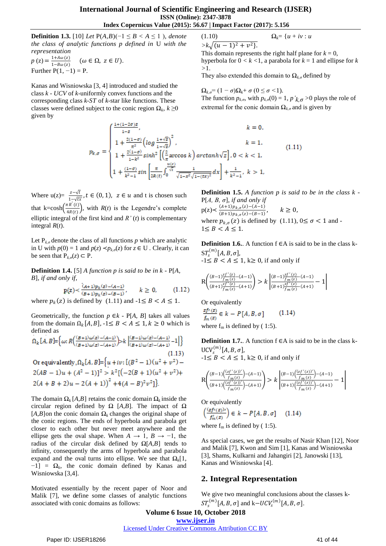**Definition 1.3.** [10] *Let*  $P(A,B)(-1 ≤ B < A ≤ 1)$ *, denote the class of analytic functions p defined in* U *with the representation*  $p(z) = \frac{1+ A\omega(z)}{1-B\omega(z)}$  $\frac{1+\lambda\omega(z)}{1-B\omega(z)}$  ( $\omega \in \Omega$ ,  $z \in U$ ). Further  $P(1, -1) = P$ .

Kanas and Wisniowska [3, 4] introduced and studied the class *k* - *UCV* of *k*-uniformly convex functions and the corresponding class *k*-*ST* of *k*-star like functions. These classes were defined subject to the conic region  $\Omega_k$ ,  $k \geq 0$ given by

 $p_{k,\sigma} = \begin{cases} \frac{1-z}{1-z}, \\ 1+\frac{2(1-\sigma)}{\pi^2} \\ 1+\frac{2(1-\sigma)}{1-k^2} \\ 1+\frac{(1-\sigma)}{k^2-1}si \end{cases}$ 

Where  $u(z) = \frac{z - \sqrt{t}}{1 - \sqrt{tx}}$ ,  $t \in (0, 1)$ ,  $z \in u$  and t is chosen such that k=cosh $\left(\frac{\pi R'(t)}{4R(t)}\right)$  $\frac{dR(t)}{dR(t)}$ , with  $R(t)$  is the Legendre's complete elliptic integral of the first kind and *R'* (*t*) is complementary integral *R*(*t*).

Let  $P_{kq}$  denote the class of all functions p which are analytic in U with  $p(0) = 1$  and  $p(z) \prec p_{k,\sigma}(z)$  for  $z \in U$ . Clearly, it can be seen that  $P_{k,\sigma}(z) \subset P$ .

**Definition 1.4.** [5] *A function p is said to be in k -* P[*A, B*]*, if and only if,*

$$
p(z) < \frac{(A+1)p_k(z) - (A-1)}{(B+1)p_k(z) - (B-1)}, \qquad k \ge 0,
$$
 (1.12)  
where  $p_k(z)$  is defined by (1.11) and  $-1 \le B < A \le 1$ .

Geometrically, the function  $p \in k$  - P[*A*, *B*] takes all values from the domain  $\Omega_k[A, B]$ ,  $-1 \leq B < A \leq 1, k \geq 0$  which is

defined as  
\n
$$
\Omega_k[A, B] = \left\{ \omega : R\left(\frac{(B+1)\omega(z) - (A-1)}{(B+1)\omega(z) - (A+1)}\right) > k \left| \frac{(B-1)\omega(z) - (A-1)}{(B+1)\omega(z) - (A+1)} - 1 \right| \right\}
$$
\n(1.13)  
\nOr equivalently, 
$$
\Omega_k[A, B] = \left\{ u + iv : \left[ (B^2 - 1)(u^2 + v^2) - 2(AB - 1)u + (A^2 - 1) \right]^2 > k^2 \left[ \left( -2(B+1)(u^2 + v^2) + 2(A+B+2)u - 2(A+1) \right)^2 + 4(A-B)^2 v^2 \right] \right\}.
$$

The domain  $\Omega_k[A,B]$  retains the conic domain  $\Omega_k$  inside the circular region defined by  $\Omega$  [A,B]. The impact of  $\Omega$ [ $A,B$ ] on the conic domain  $\Omega_k$  changes the original shape of the conic regions. The ends of hyperbola and parabola get closer to each other but never meet anywhere and the ellipse gets the oval shape. When  $A \rightarrow 1$ ,  $B \rightarrow -1$ , the radius of the circular disk defined by  $\Omega[A,B]$  tends to infinity, consequently the arms of hyperbola and parabola expand and the oval turns into ellipse. We see that  $\Omega_k[1]$ ,  $-1$ ] =  $\Omega_k$ , the conic domain defined by Kanas and Wisniowska [3,4].

Motivated essentially by the recent paper of Noor and Malik [7], we define some classes of analytic functions associated with conic domains as follows:

(1.10)  $Q_k = \{u + iv : u\}$ 

 $\frac{1}{2}$  >  $k\sqrt{(u-1)^2 + v^2}$ . This domain represents the right half plane for  $k = 0$ , hyperbola for  $0 < k < 1$ , a parabola for  $k = 1$  and ellipse for  $k$ *>*1.

They also extended this domain to  $\Omega_{k,\sigma}$  defined by

 $\Omega_{k,\sigma} = (1 - \sigma)\Omega_k + \sigma (0 \leq \sigma \leq 1)$ .

The function  $p_{k,\sigma}$ , with  $p_{k,\sigma}(0) = 1$ ,  $p'_{k,\sigma} > 0$  plays the role of extremal for the conic domain  $\Omega_{k,\sigma}$  and is given by

$$
k = 0.
$$
\n
$$
k = 1.
$$
\n
$$
\frac{-\sigma}{2} \left( \log \frac{1 + \sqrt{z}}{1 - \sqrt{z}} \right)^{2}, \qquad k = 1.
$$
\n
$$
\frac{-\sigma}{k^{2}} \sinh^{2} \left[ \left( \frac{2}{\pi} \arccos k \right) \arctan k \sqrt{z} \right], 0 < k < 1.
$$
\n
$$
\frac{n}{2} \sin \left[ \frac{\pi}{2R(t)} \int_{0}^{\frac{u(z)}{\sqrt{t}}} \frac{1}{\sqrt{1 - x^{2}} \sqrt{1 - (\tau x)^{2}}} dx \right] + \frac{1}{k^{2} - 1}, \quad k > 1,
$$
\n
$$
\text{Definition 1.5.4 function, n is said to be}
$$

**Definition 1.5.** *A function p is said to be in the class k -* P[*A, B, σ*]*, if and only if*  $p(z) < \frac{(A+1)p_{k,\sigma}(z)-(A-1)}{(B+1)p_{k,\sigma}(z)-(B-1)}$  $\frac{(h+1)p_{k,\sigma}(z) - (h-1)}{(B+1)p_{k,\sigma}(z) - (B-1)}, \quad k \ge 0,$ 

where  $p_{k,\sigma}(z)$  is defined by  $(1.11), 0 \le \sigma < 1$  and - $1 \leq B < A \leq 1$ .

**Definition 1.6.**. A function f ∈A is said to be in the class k- $ST_s^{(m)}[A, B, \sigma],$ 

 $-1 \leq B < A \leq 1$ ,  $k \geq 0$ , if and only if

$$
\mathrm R\left(\!\frac{(B-1)\frac{zf'(z)}{fm(z)}-(A-1)}{(B+1)\frac{zf'(z)}{fm(z)}-(A+1)}\!\right)>k\left|\frac{(B-1)\frac{zf'(z)}{fm(z)}-(A-1)}{(B+1)\frac{zf'(z)}{fm(z)}-(A+1)}-1\right|
$$

Or equivalently

$$
\frac{zf'(z)}{f_m(z)} \in k - P[A, B, \sigma] \tag{1.14}
$$
where f is defined by (1.5).

where  $t_m$  is defined by (1:5).

**Definition 1.7.**. A function f ∈A is said to be in the class k- $\mathrm{UCV}^{(m)}_\mathrm{s}[A,B,\sigma],$ 

 $-1 \leq B < A \leq 1$ ,  $k \geq 0$ , if and only if

$$
\mathrm R\left(\frac{(B-1)\left(\frac{(zf'(z))'}{f_m(z)}\right)-(A-1)}{(B+1)\left(\frac{(zf'(z))'}{f_m(z)}\right)-(A+1)}\right)>k\left|\frac{(B-1)\left(\frac{(zf'(z))'}{f_m(z)}\right)-(A-1)}{(B+1)\left(\frac{(zf'(z))'}{f_m(z)}\right)-(A+1)}-1\right|
$$

Or equivalently

$$
\left(\frac{(xf'(z))t}{f'_m(z)}\right) \in k - P[A, B, \sigma] \qquad (1.14)
$$

where  $f_m$  is defined by (1:5).

As special cases, we get the results of Nasir Khan [12], Noor and Malik [7], Kwon and Sim [1], Kanas and Wisniowska [3], Shams, Kulkarni and Jahangiri [2], Janowski [13], Kanas and Wisniowska [4].

## **2. Integral Representation**

We give two meaningful conclusions about the classes k-  $ST_s^{(m)}[A, B, \sigma]$  and  $k-UCV_s^{(m)}[A, B, \sigma]$ .

**Volume 6 Issue 10, October 2018**

**<www.ijser.in>**

[Licensed Under Creative Commons Attribution CC BY](http://creativecommons.org/licenses/by/4.0/)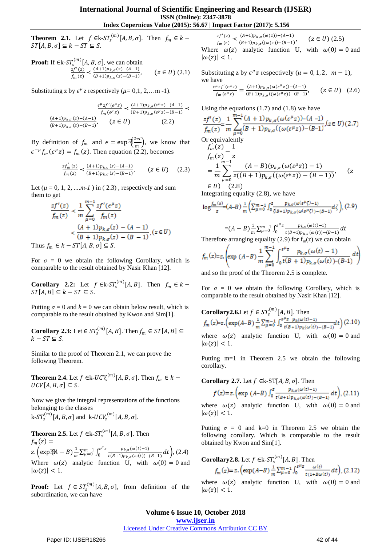**Theorem 2.1.** Let  $f \in k\text{-}ST_s^{(m)}[A, B, \sigma]$ . Then  $f_m \in k$  –  $ST[A, B, \sigma] \subseteq k - ST \subseteq S$ .

**Proof:** If 
$$
\in k\text{-}ST_s^{(m)}[A, B, \sigma]
$$
, we can obtain\n
$$
\frac{zf'(z)}{f_m(z)} \prec \frac{(A+1)p_{k,\sigma}(z) - (A-1)}{(B+1)p_{k,\sigma}(z) - (B-1)}, \qquad (z \in U) \text{ (2.1)}
$$

Substituting z by  $\epsilon^{\mu}$ z respectively ( $\mu$ = 0,1, 2,...m -1).

$$
\frac{\frac{\epsilon^{\mu}zf'( \epsilon^{\mu}z)}{f_m(\epsilon^{\mu}z)}}{(\frac{\mu+1)p_{k,\sigma}(z)-(A-1)}{(B+1)p_{k,\sigma}(\epsilon^{\mu}z)-(B-1)}}\n\frac{(A+1)p_{k,\sigma}(z)-(A-1)}{(B+1)p_{k,\sigma}(z)-(B-1)}, \qquad (Z\in U) \qquad (2.2)
$$

By definition of  $f_m$  and  $\epsilon = \exp[\frac{2\pi i}{m}]$  $\frac{m}{m}$ , we know that  $\epsilon^{-\mu} f_m(\epsilon^{\mu} z) = f_m(z)$ . Then equation (2.2), becomes

$$
\frac{zf_m^{'}(z)}{f_m(z)} \prec \frac{(A+1)p_{k,\sigma}(z)-(A-1)}{(B+1)p_{k,\sigma}(z)-(B-1)}, \qquad (z \in U) \quad (2.3)
$$

Let  $(\mu = 0, 1, 2, \dots m-1)$  in (2.3), respectively and sum them to get

$$
\frac{zf'(z)}{f_m(z)} < \frac{1}{m} \sum_{\mu=0}^{m-1} \frac{zf'(\epsilon^{\mu}z)}{f_m(z)}
$$
  

$$
< \frac{(A+1)p_{k,\sigma}(z) - (A-1)}{(B+1)p_{k,\sigma}(z) - (B-1)}, (z \in U)
$$
  
Thus  $f_m \in k - ST[A, B, \sigma] \subseteq S$ .

For  $\sigma = 0$  we obtain the following Corollary, which is comparable to the result obtained by Nasir Khan [12].

**Corollary** 2.2: Let  $f \in k\text{-}ST_s^{(m)}[A, B]$ . Then  $f_m \in k$  –  $ST[A, B] \subseteq k - ST \subseteq S$ .

Putting  $\sigma = 0$  and  $k = 0$  we can obtain below result, which is comparable to the result obtained by Kwon and Sim[1].

**Corollary 2.3:** Let  $\in ST_s^{(m)}[A, B]$ . Then  $f_m \in ST[A, B] \subseteq$  $k - ST \subseteq S$ .

Similar to the proof of Theorem 2.1, we can prove the following Theorem.

**Theorem 2.4.** Let  $f \in k\text{-}UCV_s^{(m)}[A, B, \sigma]$ . Then  $f_m \in k$  –  $UCV[A, B, \sigma] \subseteq S$ .

Now we give the integral representations of the functions belonging to the classes  $k\text{-}ST_s^{(m)}[A, B, \sigma]$  and  $k\text{-}UCV_s^{(m)}[A, B, \sigma]$ .

**Theorem 2.5.** Let 
$$
f \in k\text{-}ST_s^{(m)}[A, B, \sigma]
$$
. Then  
\n $f_m(z) =$   
\n $z \cdot \left(\exp[\tilde{c}[A - B] \frac{1}{m} \sum_{\mu=0}^{m-1} \int_0^{\varepsilon^{\mu} z} \frac{p_{k,\sigma}(\omega(t)-1)}{t(B+1)p_{k,\sigma}(\omega(t))-(B-1)} dt\right)$ , (2.4)  
\nWhere  $\omega(z)$  analytic function U, with  $\omega(0) = 0$  and  $|\omega(z)| < 1$ .

**Proof:** Let  $f \in ST_s^{(m)}[A, B, \sigma]$ , from definition of the subordination, we can have

 $zf'(z)$  $\frac{zf'(z)}{f_m(z)} < \frac{(A+1)p_{k,\sigma}(\omega(z))-(A-1)}{(B+1)p_{k,\sigma}((\omega(z))-(B-1))}$  $(B+1) p_{k,\sigma}((\omega(z))-(B-1))$  $(z \in U)$  (2.5) Where  $\omega(z)$  analytic function U, with  $\omega(0) = 0$  and  $|\omega(z)| < 1.$ 

Substituting z by  $\epsilon^{\mu}$ z respectively ( $\mu = 0, 1, 2, m - 1$ ), we have

$$
\frac{\varepsilon^{\mu}zf'(\varepsilon^{\mu}z)}{f_m(\varepsilon^{\mu}z)} = \frac{(A+1)p_{k,\sigma}(\omega(\varepsilon^{\mu}z)) - (A-1)}{(B+1)p_{k,\sigma}((\omega(\varepsilon^{\mu}z)) - (B-1)}, \qquad (z \in U) \quad (2.6)
$$

Using the equations  $(1.7)$  and  $(1.8)$  we have

$$
\frac{zf'(z)}{f_m(z)} = \frac{1}{m} \sum_{\mu=0}^{m-1} \frac{(A+1)p_{k,\sigma}(\omega(\varepsilon^{\mu}z)) - (A-1)}{(B+1)p_{k,\sigma}((\omega(\varepsilon^{\mu}z)) - (B-1))} (z \in U)(2.7)
$$

Or equivalently

$$
\frac{f'_m(z)}{f_m(z)} - \frac{1}{z}
$$
\n
$$
= \frac{1}{m} \sum_{\mu=0}^{m-1} \frac{(A-B)(p_{k,\sigma}(\omega(\varepsilon^{\mu}z)) - 1)}{z((B+1)p_{k,\sigma}((\omega(\varepsilon^{\mu}z)) - (B-1))},
$$
\n
$$
\in U) \quad (2.8)
$$
\n(2.8)

Integrating equality (2.8), we have

$$
\log \frac{f_m(z)}{z} = (A-B) \frac{1}{m} \left( \sum_{\mu=0}^{m-1} \int_0^z \frac{p_{k,\sigma}(\omega(\varepsilon^{\mu}\zeta) - 1)}{\zeta(B+1)p_{k,\sigma}(\omega(\varepsilon^{\mu}\zeta) - (B-1)} d\zeta \right), (2.9)
$$

$$
=(A-B)\frac{1}{m}\sum_{\mu=0}^{m-1}\int_0^{\varepsilon^{\mu}z}\frac{p_{k,\sigma}(\omega(t)-1)}{t(B+1)p_{k,\sigma}(\omega(t))-(B-1)}dt
$$

Therefore arranging equality (2.9) for  $f_m(z)$  we can obtain

$$
f_m(z)=z.\left(\exp\left(A-B\right)\frac{1}{m}\sum_{\mu=0}^{m-1}\int_0^{\varepsilon^{\mu}z}\frac{p_{k,\sigma}(\omega(t)-1)}{t(B+1)p_{k,\sigma}(\omega(t))-(B-1)}dt\right)
$$

and so the proof of the Theorem 2.5 is complete.

For  $\sigma = 0$  we obtain the following Corollary, which is comparable to the result obtained by Nasir Khan [12].

Corollary 2.6. Let 
$$
f \in ST_s^{(m)}[A, B]
$$
. Then  
\n
$$
f_m(z) = z \cdot \left(\exp(A - B) \frac{1}{m} \sum_{\mu=0}^{m-1} \int_0^{\varepsilon \frac{\mu_x}{\mu_x}} \frac{p_k(\omega(t) - 1)}{p_k(\omega(t)) - (\varepsilon - 1)} dt\right) (2.10)
$$
\nwhere  $\omega(z)$  analytic function U, with  $\omega(0) = 0$  and  $|\omega(z)| < 1$ .

Putting m=1 in Theorem 2.5 we obtain the following corollary.

**Corollary 2.7.** Let  $f \in k$ -ST[ $A, B, \sigma$ ]. Then

$$
f(z) = z \cdot \left( \exp \left( A - B \right) \int_0^z \frac{p_{k,\sigma}(\omega(t)-1)}{t (B+1) p_{k,\sigma}(\omega(t)) - (B-1)} dt \right), (2.11)
$$

where  $\omega(z)$  analytic function U, with  $\omega(0) = 0$  and  $|\omega(z)| < 1$ .

Putting  $\sigma = 0$  and k=0 in Theorem 2.5 we obtain the following corollary. Which is comparable to the result obtained by Kwon and Sim[1].

**Corollary 2.8.** Let 
$$
f \in k\text{-}ST_s^{(m)}[A, B]
$$
. Then  
\n
$$
f_m(z) = z \cdot \left(\exp(A-B) \frac{1}{m} \sum_{\mu=0}^{m-1} \int_0^{\varepsilon^{\mu} z} \frac{\omega(t)}{t(1+B\omega(t))} dt\right), (2.12)
$$
\nwhere  $\omega(z)$  analytic function U, with  $\omega(0) = 0$  and  $|\omega(z)| < 1$ .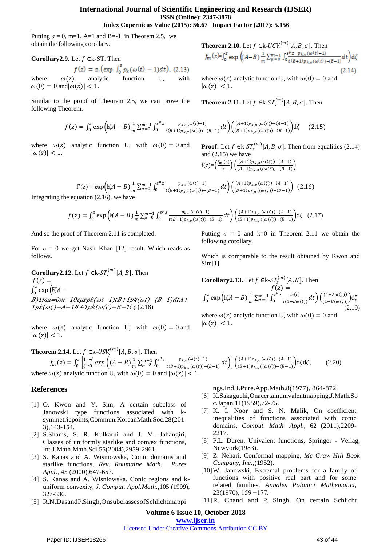Putting  $\sigma = 0$ , m=1, A=1 and B=-1 in Theorem 2.5, we obtain the following corollary.

**Corollary 2.9.** Let 
$$
f \in k\text{-ST}
$$
. Then  
\n
$$
f(z) = z \cdot (\exp \int_0^z p_k(\omega(t) - 1) dt), (2.13)
$$
\nwhere  $\omega(z)$  analytic function U, with  
\n $\omega(0) = 0$  and  $|\omega(z)| < 1$ .

Similar to the proof of Theorem 2.5, we can prove the following Theorem.

$$
f(z) = \int_0^z \exp\left(i[(A-B)\frac{1}{m}\sum_{\mu=0}^{m-1} \int_0^{\varepsilon^{\mu}z} \frac{p_{k,\sigma}(\omega(t)-1)}{t(B+1)p_{k,\sigma}(\omega(t))-(B-1)}dt\right) \left(\frac{(A+1)p_{k,\sigma}(\omega(\zeta))-(A-1)}{(B+1)p_{k,\sigma}((\omega(\zeta))-(B-1)}\right) d\zeta
$$
 (2.15)

where  $\omega(z)$  analytic function U, with  $\omega(0) = 0$  and  $|\omega(z)| < 1.$ 

**Proof:** Let  $f \in k\text{-}ST_s^{(m)}[A, B, \sigma]$ . Then from equalities (2.14) and (2.15) we have

$$
\displaystyle \mathop{\mathrm{f}}\nolimits(\mathop{\mathrm{z}}\nolimits)\!\!=\!\!\left(\!\frac{f_m(z)}{z}\!\right)\!\left(\!\frac{(A\!+\!1)p_{k,\sigma}(\omega(\zeta))\!-\!(A\!-\!1)}{(B\!+\!1)p_{k,\sigma}((\omega(\zeta))\!-\!(B\!-\!1)}\!\right)
$$

$$
f'(z) = \exp\left(i(A - B) \frac{1}{m} \sum_{\mu=0}^{m-1} \int_0^{\varepsilon^{\mu} z} \frac{p_{k,\sigma}(\omega(t)-1)}{t(B+1)p_{k,\sigma}(\omega(t)) - (B-1)} dt\right) \left(\frac{(A+1)p_{k,\sigma}(\omega(\zeta)) - (A-1)}{(B+1)p_{k,\sigma}(\omega(\zeta)) - (B-1)}\right)
$$
(2.16)

Integrating the equation (2.16), we have

$$
f(z) = \int_0^z \exp\left(i\vec{p}(A-B)\frac{1}{m}\sum_{\mu=0}^{m-1} \int_0^{\varepsilon^{\mu}z} \frac{p_{k,\sigma}(\omega(t)-1)}{t(B+1)p_{k,\sigma}(\omega(t))-(B-1)}dt\right) \left(\frac{(A+1)p_{k,\sigma}(\omega(\zeta))-(A-1)}{(B+1)p_{k,\sigma}(\omega(\zeta))-(B-1)}\right) d\zeta
$$
 (2.17)

And so the proof of Theorem 2.11 is completed.

For  $\sigma = 0$  we get Nasir Khan [12] result. Which reads as follows.

**Corollary 2.12.** Let  $f \in k\text{-}ST_s^{(m)}[A, B]$ . Then  $f(z) =$  $\int_0^z \exp$  $\int_0^{\infty}$  exp (  $4$  –  $B$ )1m $\mu$ =0m-10 $\varepsilon$  $\mu$ zpk( $\omega t$ -1)tB+1pk( $\omega t$ )-(B-1)dtA+  $1pk(\omega\zeta)-A-1B+1pk(\omega(\zeta)-B-1d\zeta(2.18))$ 

where  $\omega(z)$  analytic function U, with  $\omega(0) = 0$  and  $|\omega(z)| < 1.$ 

Putting  $\sigma = 0$  and k=0 in Theorem 2.11 we obtain the following corollary.

Which is comparable to the result obtained by Kwon and Sim[1].

**Corollary 2.13.** Let 
$$
f \in k\text{-}ST_s^{(m)}[A, B]
$$
. Then  
\n
$$
f(z) =
$$
\n
$$
\int_0^z \exp\left(\mathbb{E}[A - B] \frac{1}{m} \sum_{\mu=0}^{m-1} \int_0^{\varepsilon^{\mu} z} \frac{\omega(t)}{t(1 + B\omega(t))} dt\right) \left(\frac{(1 + A\omega(\zeta))}{(1 + B(\omega(\zeta)))}\right) d\zeta
$$
\n(2.19)

where  $\omega(z)$  analytic function U, with  $\omega(0) = 0$  and  $|\omega(z)| < 1.$ 

**Theorem 2.14.** Let 
$$
f \in k\text{-}USV_s^{(m)}[A, B, \sigma]
$$
. Then\n
$$
f_m(z) = \int_0^z \left[\frac{1}{\zeta} \int_0^{\zeta} \exp\left((A - B) \frac{1}{m} \sum_{\mu=0}^{m-1} \int_0^{\xi^{\mu} z} \frac{p_{k,\sigma}(\omega(t) - 1)}{t(B + 1)p_{k,\sigma}(\omega(t)) - (B - 1)} dt\right)\right] \left(\frac{(A + 1)p_{k,\sigma}(\omega(\zeta)) - (A - 1)}{(B + 1)p_{k,\sigma}(\omega(\zeta)) - (B - 1)}\right) d\zeta d\zeta,
$$
\nwhere  $\omega(z)$  analytic function U, with  $\omega(0) = 0$  and  $|\omega(z)| < 1$ .

#### **References**

- [1] O. Kwon and Y. Sim, A certain subclass of Janowski type functions associated with ksymmetricpoints,Commun.KoreanMath.Soc.28(201 3),143-154.
- [2] S.Shams, S. R. Kulkarni and J. M. Jahangiri, Classes of uniformly starlike and convex functions, Int.J.Math.Math.Sci.55(2004),2959-2961.
- [3] S. Kanas and A. Wisniowska, Conic domains and starlike functions, *Rev. Roumaine Math. Pures Appl.,* 45 (2000),647-657.
- [4] S. Kanas and A. Wisniowska, Conic regions and kuniform convexity, *J. Comput. Appl.Math.,*105 (1999), 327-336.
- [5] R.N.DasandP.Singh,OnsubclassesofSchlichtmappi

ngs.Ind.J.Pure.App.Math.8(1977), 864-872.

- [6] K.Sakaguchi,Onacertainunivalentmapping,J.Math.So c.Japan.11(1959),72-75.
- [7] K. I. Noor and S. N. Malik, On coefficient inequalities of functions associated with conic domains, *Comput. Math. Appl.,* 62 (2011),2209- 2217.
- [8] P.L. Duren, Univalent functions, Springer Verlag, Newyork(1983).
- [9] Z. Nehari, Conformal mapping, *Mc Graw Hill Book Company, Inc.,*(1952).
- [10]W. Janowski, Extremal problems for a family of functions with positive real part and for some related families, *Annales Polonici Mathematici,*  23(1970)*,* 159 −177*.*
- [11]R. Chand and P. Singh. On certain Schlicht

**Volume 6 Issue 10, October 2018**

**<www.ijser.in>**

[Licensed Under Creative Commons Attribution CC BY](http://creativecommons.org/licenses/by/4.0/)

**Theorem 2.10.** Let  $f \in k$ - $UCV_s^{(m)}[A, B, \sigma]$ . Then  $(2.14)$ 

where  $\omega(z)$  analytic function U, with  $\omega(0) = 0$  and  $|\omega(z)| < 1.$ 

**Theorem 2.11.** Let  $f \in k\text{-}ST_s^{(m)}[A, B, \sigma]$ . Then